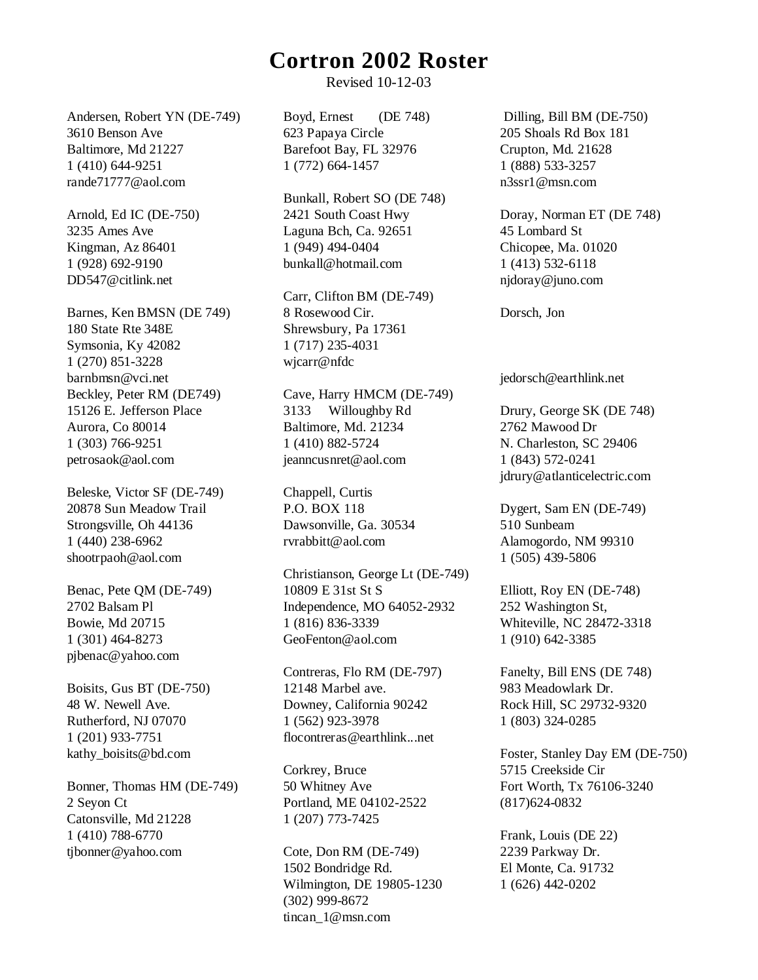## **Cortron 2002 Roster**

Revised 10-12-03

Andersen, Robert YN (DE-749) 3610 Benson Ave Baltimore, Md 21227 1 (410) 644-9251 rande71777@aol.com

Arnold, Ed IC (DE-750) 3235 Ames Ave Kingman, Az 86401 1 (928) 692-9190 DD547@citlink.net

Barnes, Ken BMSN (DE 749) 180 State Rte 348E Symsonia, Ky 42082 1 (270) 851-3228 barnbmsn@vci.net Beckley, Peter RM (DE749) 15126 E. Jefferson Place Aurora, Co 80014 1 (303) 766-9251 petrosaok@aol.com

Beleske, Victor SF (DE-749) 20878 Sun Meadow Trail Strongsville, Oh 44136 1 (440) 238-6962 shootrpaoh@aol.com

Benac, Pete QM (DE-749) 2702 Balsam Pl Bowie, Md 20715 1 (301) 464-8273 pjbenac@yahoo.com

Boisits, Gus BT (DE-750) 48 W. Newell Ave. Rutherford, NJ 07070 1 (201) 933-7751 kathy\_boisits@bd.com

Bonner, Thomas HM (DE-749) 2 Seyon Ct Catonsville, Md 21228 1 (410) 788-6770 tibonner@yahoo.com

Boyd, Ernest (DE 748) 623 Papaya Circle Barefoot Bay, FL 32976 1 (772) 664-1457

Bunkall, Robert SO (DE 748) 2421 South Coast Hwy Laguna Bch, Ca. 92651 1 (949) 494-0404 bunkall@hotmail.com

Carr, Clifton BM (DE-749) 8 Rosewood Cir. Shrewsbury, Pa 17361 1 (717) 235-4031 wjcarr@nfdc

Cave, Harry HMCM (DE-749) 3133 Willoughby Rd Baltimore, Md. 21234 1 (410) 882-5724 jeanncusnret@aol.com

Chappell, Curtis P.O. BOX 118 Dawsonville, Ga. 30534 rvrabbitt@aol.com

Christianson, George Lt (DE-749) 10809 E 31st St S Independence, MO 64052-2932 1 (816) 836-3339 GeoFenton@aol.com

Contreras, Flo RM (DE-797) 12148 Marbel ave. Downey, California 90242 1 (562) 923-3978 flocontreras@earthlink...net

Corkrey, Bruce 50 Whitney Ave Portland, ME 04102-2522 1 (207) 773-7425

Cote, Don RM (DE-749) 1502 Bondridge Rd. Wilmington, DE 19805-1230 (302) 999-8672 tincan\_1@msn.com

 Dilling, Bill BM (DE-750) 205 Shoals Rd Box 181 Crupton, Md. 21628 1 (888) 533-3257 n3ssr1@msn.com

Doray, Norman ET (DE 748) 45 Lombard St Chicopee, Ma. 01020 1 (413) 532-6118 njdoray@juno.com

Dorsch, Jon

jedorsch@earthlink.net

Drury, George SK (DE 748) 2762 Mawood Dr N. Charleston, SC 29406 1 (843) 572-0241 jdrury@atlanticelectric.com

Dygert, Sam EN (DE-749) 510 Sunbeam Alamogordo, NM 99310 1 (505) 439-5806

Elliott, Roy EN (DE-748) 252 Washington St, Whiteville, NC 28472-3318 1 (910) 642-3385

Fanelty, Bill ENS (DE 748) 983 Meadowlark Dr. Rock Hill, SC 29732-9320 1 (803) 324-0285

Foster, Stanley Day EM (DE-750) 5715 Creekside Cir Fort Worth, Tx 76106-3240 (817)624-0832

Frank, Louis (DE 22) 2239 Parkway Dr. El Monte, Ca. 91732 1 (626) 442-0202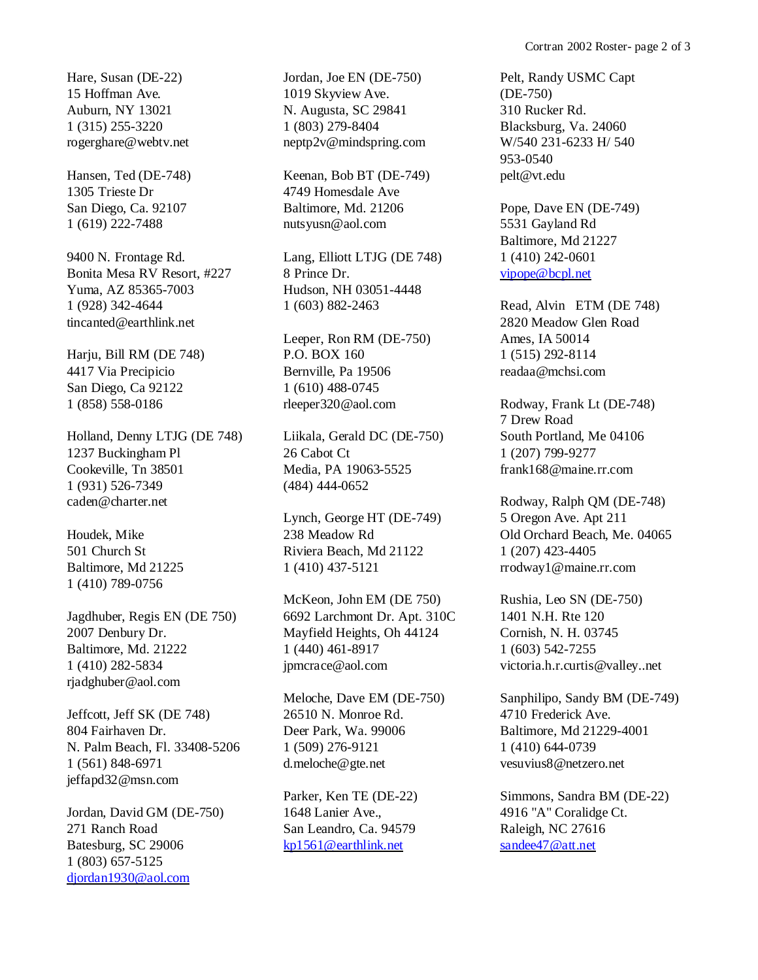Hare, Susan (DE-22) 15 Hoffman Ave. Auburn, NY 13021 1 (315) 255-3220 rogerghare@webtv.net

Hansen, Ted (DE-748) 1305 Trieste Dr San Diego, Ca. 92107 1 (619) 222-7488

9400 N. Frontage Rd. Bonita Mesa RV Resort, #227 Yuma, AZ 85365-7003 1 (928) 342-4644 tincanted@earthlink.net

Harju, Bill RM (DE 748) 4417 Via Precipicio San Diego, Ca 92122 1 (858) 558-0186

Holland, Denny LTJG (DE 748) 1237 Buckingham Pl Cookeville, Tn 38501 1 (931) 526-7349 caden@charter.net

Houdek, Mike 501 Church St Baltimore, Md 21225 1 (410) 789-0756

Jagdhuber, Regis EN (DE 750) 2007 Denbury Dr. Baltimore, Md. 21222 1 (410) 282-5834 rjadghuber@aol.com

Jeffcott, Jeff SK (DE 748) 804 Fairhaven Dr. N. Palm Beach, Fl. 33408-5206 1 (561) 848-6971 jeffapd32@msn.com

Jordan, David GM (DE-750) 271 Ranch Road Batesburg, SC 29006 1 (803) 657-5125 [djordan1930@aol.com](mailto:djordan1930@aol.com)

Jordan, Joe EN (DE-750) 1019 Skyview Ave. N. Augusta, SC 29841 1 (803) 279-8404 neptp2v@mindspring.com

Keenan, Bob BT (DE-749) 4749 Homesdale Ave Baltimore, Md. 21206 nutsyusn@aol.com

Lang, Elliott LTJG (DE 748) 8 Prince Dr. Hudson, NH 03051-4448 1 (603) 882-2463

Leeper, Ron RM (DE-750) P.O. BOX 160 Bernville, Pa 19506 1 (610) 488-0745 rleeper320@aol.com

Liikala, Gerald DC (DE-750) 26 Cabot Ct Media, PA 19063-5525 (484) 444-0652

Lynch, George HT (DE-749) 238 Meadow Rd Riviera Beach, Md 21122 1 (410) 437-5121

McKeon, John EM (DE 750) 6692 Larchmont Dr. Apt. 310C Mayfield Heights, Oh 44124 1 (440) 461-8917 jpmcrace@aol.com

Meloche, Dave EM (DE-750) 26510 N. Monroe Rd. Deer Park, Wa. 99006 1 (509) 276-9121 d.meloche@gte.net

Parker, Ken TE (DE-22) 1648 Lanier Ave., San Leandro, Ca. 94579 [kp1561@earthlink.net](mailto:kp1561@earthlink.net)

Pelt, Randy USMC Capt (DE-750) 310 Rucker Rd. Blacksburg, Va. 24060 W/540 231-6233 H/ 540 953-0540 pelt@vt.edu

Pope, Dave EN (DE-749) 5531 Gayland Rd Baltimore, Md 21227 1 (410) 242-0601 [vipope@bcpl.net](mailto:vipope@bcpl.net)

Read, Alvin ETM (DE 748) 2820 Meadow Glen Road Ames, IA 50014 1 (515) 292-8114 readaa@mchsi.com

Rodway, Frank Lt (DE-748) 7 Drew Road South Portland, Me 04106 1 (207) 799-9277 frank168@maine.rr.com

Rodway, Ralph QM (DE-748) 5 Oregon Ave. Apt 211 Old Orchard Beach, Me. 04065 1 (207) 423-4405 rrodway1@maine.rr.com

Rushia, Leo SN (DE-750) 1401 N.H. Rte 120 Cornish, N. H. 03745 1 (603) 542-7255 victoria.h.r.curtis@valley..net

Sanphilipo, Sandy BM (DE-749) 4710 Frederick Ave. Baltimore, Md 21229-4001 1 (410) 644-0739 vesuvius8@netzero.net

Simmons, Sandra BM (DE-22) 4916 "A" Coralidge Ct. Raleigh, NC 27616 [sandee47@att.net](mailto:sandee47@att.net)